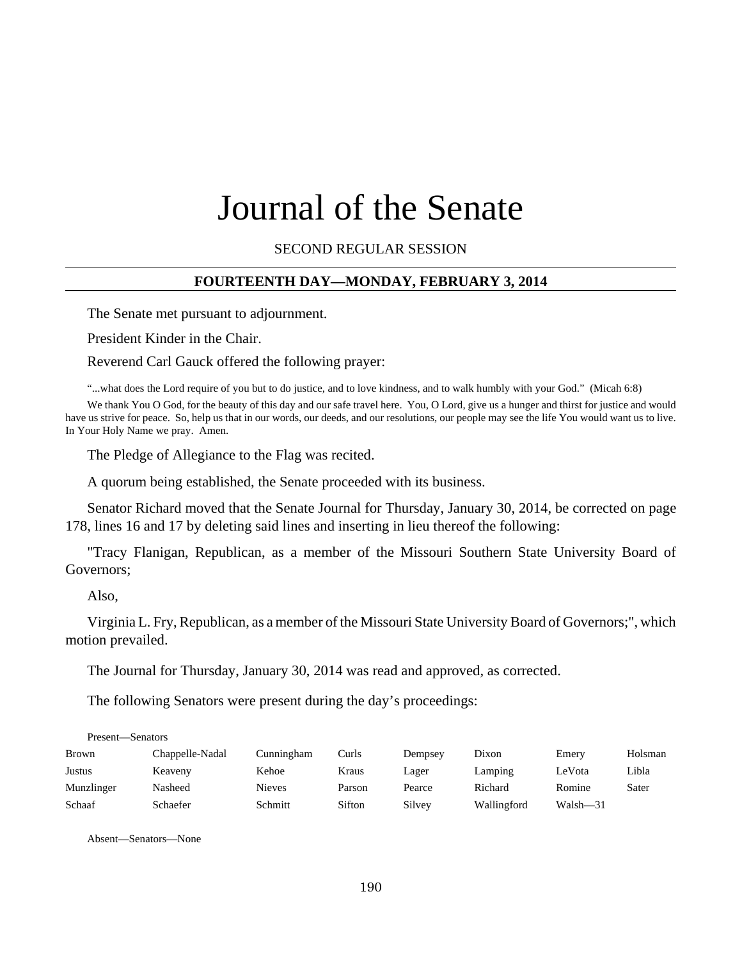# Journal of the Senate

SECOND REGULAR SESSION

## **FOURTEENTH DAY—MONDAY, FEBRUARY 3, 2014**

The Senate met pursuant to adjournment.

President Kinder in the Chair.

Reverend Carl Gauck offered the following prayer:

"...what does the Lord require of you but to do justice, and to love kindness, and to walk humbly with your God." (Micah 6:8)

We thank You O God, for the beauty of this day and our safe travel here. You, O Lord, give us a hunger and thirst for justice and would have us strive for peace. So, help us that in our words, our deeds, and our resolutions, our people may see the life You would want us to live. In Your Holy Name we pray. Amen.

The Pledge of Allegiance to the Flag was recited.

A quorum being established, the Senate proceeded with its business.

Senator Richard moved that the Senate Journal for Thursday, January 30, 2014, be corrected on page 178, lines 16 and 17 by deleting said lines and inserting in lieu thereof the following:

"Tracy Flanigan, Republican, as a member of the Missouri Southern State University Board of Governors;

Also,

Virginia L. Fry, Republican, as a member of the Missouri State University Board of Governors;", which motion prevailed.

The Journal for Thursday, January 30, 2014 was read and approved, as corrected.

The following Senators were present during the day's proceedings:

| Present—Senators |                 |               |        |         |             |          |         |
|------------------|-----------------|---------------|--------|---------|-------------|----------|---------|
| <b>Brown</b>     | Chappelle-Nadal | Cunningham    | Curls  | Dempsey | Dixon       | Emery    | Holsman |
| Justus           | Keaveny         | Kehoe         | Kraus  | Lager   | Lamping     | LeVota   | Libla   |
| Munzlinger       | Nasheed         | <b>Nieves</b> | Parson | Pearce  | Richard     | Romine   | Sater   |
| Schaaf           | Schaefer        | Schmitt       | Sifton | Silvey  | Wallingford | Walsh-31 |         |

Absent—Senators—None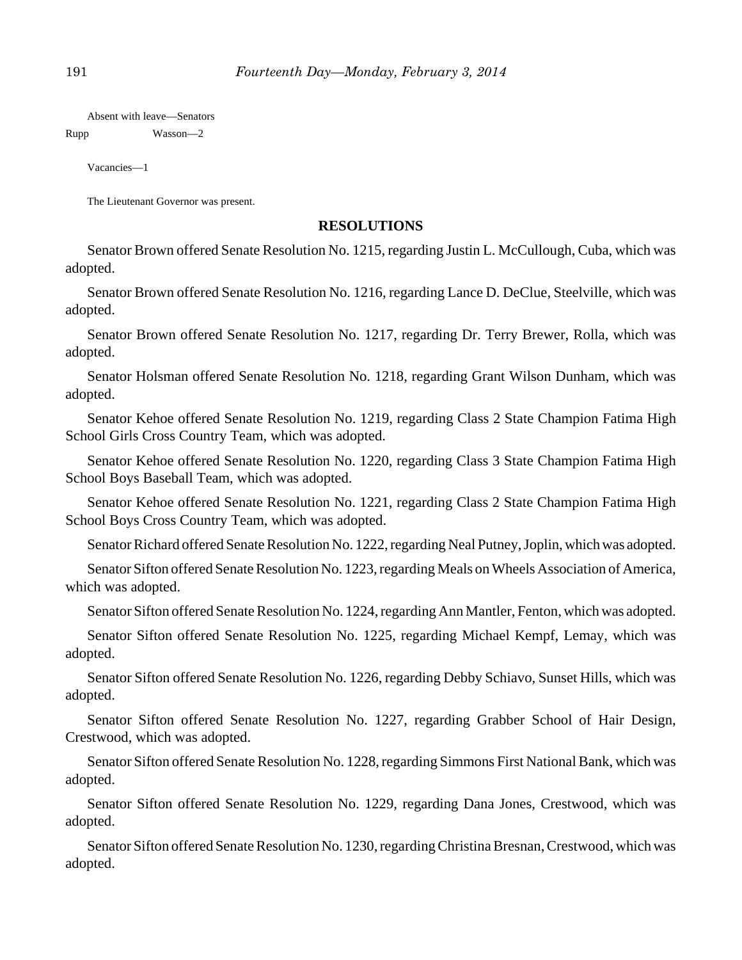Absent with leave—Senators

Rupp Wasson—2

Vacancies—1

The Lieutenant Governor was present.

# **RESOLUTIONS**

Senator Brown offered Senate Resolution No. 1215, regarding Justin L. McCullough, Cuba, which was adopted.

Senator Brown offered Senate Resolution No. 1216, regarding Lance D. DeClue, Steelville, which was adopted.

Senator Brown offered Senate Resolution No. 1217, regarding Dr. Terry Brewer, Rolla, which was adopted.

Senator Holsman offered Senate Resolution No. 1218, regarding Grant Wilson Dunham, which was adopted.

Senator Kehoe offered Senate Resolution No. 1219, regarding Class 2 State Champion Fatima High School Girls Cross Country Team, which was adopted.

Senator Kehoe offered Senate Resolution No. 1220, regarding Class 3 State Champion Fatima High School Boys Baseball Team, which was adopted.

Senator Kehoe offered Senate Resolution No. 1221, regarding Class 2 State Champion Fatima High School Boys Cross Country Team, which was adopted.

Senator Richard offered Senate Resolution No. 1222, regarding Neal Putney, Joplin, which was adopted.

Senator Sifton offered Senate Resolution No. 1223, regarding Meals on Wheels Association of America, which was adopted.

Senator Sifton offered Senate Resolution No. 1224, regarding Ann Mantler, Fenton, which was adopted.

Senator Sifton offered Senate Resolution No. 1225, regarding Michael Kempf, Lemay, which was adopted.

Senator Sifton offered Senate Resolution No. 1226, regarding Debby Schiavo, Sunset Hills, which was adopted.

Senator Sifton offered Senate Resolution No. 1227, regarding Grabber School of Hair Design, Crestwood, which was adopted.

Senator Sifton offered Senate Resolution No. 1228, regarding Simmons First National Bank, which was adopted.

Senator Sifton offered Senate Resolution No. 1229, regarding Dana Jones, Crestwood, which was adopted.

Senator Sifton offered Senate Resolution No. 1230, regarding Christina Bresnan, Crestwood, which was adopted.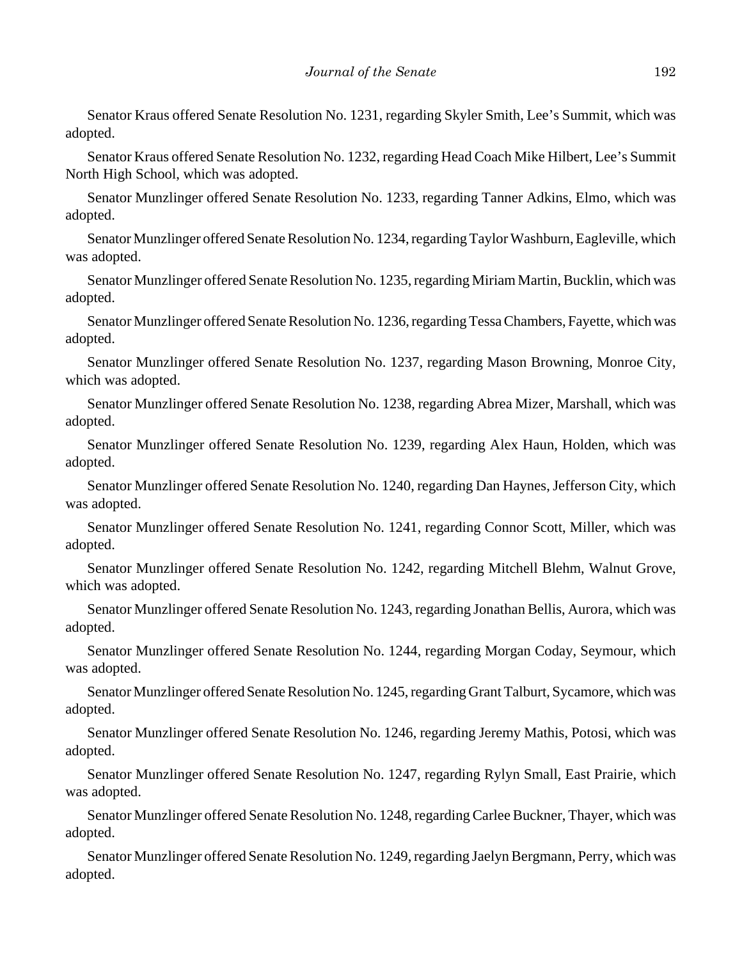Senator Kraus offered Senate Resolution No. 1231, regarding Skyler Smith, Lee's Summit, which was adopted.

Senator Kraus offered Senate Resolution No. 1232, regarding Head Coach Mike Hilbert, Lee's Summit North High School, which was adopted.

Senator Munzlinger offered Senate Resolution No. 1233, regarding Tanner Adkins, Elmo, which was adopted.

Senator Munzlinger offered Senate Resolution No. 1234, regarding Taylor Washburn, Eagleville, which was adopted.

Senator Munzlinger offered Senate Resolution No. 1235, regarding Miriam Martin, Bucklin, which was adopted.

Senator Munzlinger offered Senate Resolution No. 1236, regarding Tessa Chambers, Fayette, which was adopted.

Senator Munzlinger offered Senate Resolution No. 1237, regarding Mason Browning, Monroe City, which was adopted.

Senator Munzlinger offered Senate Resolution No. 1238, regarding Abrea Mizer, Marshall, which was adopted.

Senator Munzlinger offered Senate Resolution No. 1239, regarding Alex Haun, Holden, which was adopted.

Senator Munzlinger offered Senate Resolution No. 1240, regarding Dan Haynes, Jefferson City, which was adopted.

Senator Munzlinger offered Senate Resolution No. 1241, regarding Connor Scott, Miller, which was adopted.

Senator Munzlinger offered Senate Resolution No. 1242, regarding Mitchell Blehm, Walnut Grove, which was adopted.

Senator Munzlinger offered Senate Resolution No. 1243, regarding Jonathan Bellis, Aurora, which was adopted.

Senator Munzlinger offered Senate Resolution No. 1244, regarding Morgan Coday, Seymour, which was adopted.

Senator Munzlinger offered Senate Resolution No. 1245, regarding Grant Talburt, Sycamore, which was adopted.

Senator Munzlinger offered Senate Resolution No. 1246, regarding Jeremy Mathis, Potosi, which was adopted.

Senator Munzlinger offered Senate Resolution No. 1247, regarding Rylyn Small, East Prairie, which was adopted.

Senator Munzlinger offered Senate Resolution No. 1248, regarding Carlee Buckner, Thayer, which was adopted.

Senator Munzlinger offered Senate Resolution No. 1249, regarding Jaelyn Bergmann, Perry, which was adopted.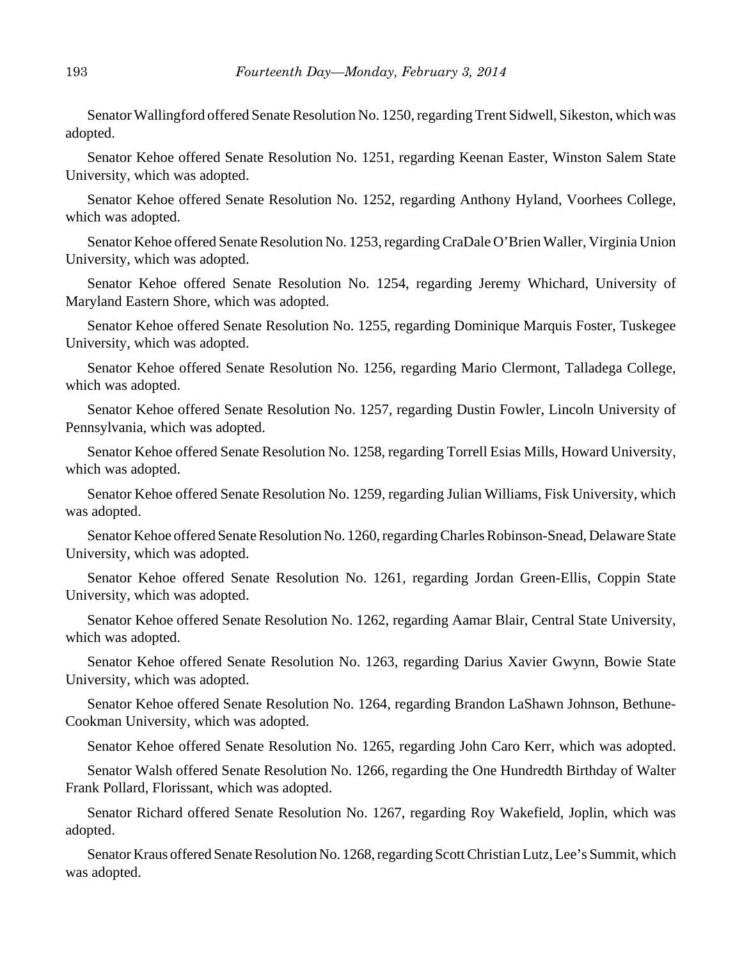Senator Wallingford offered Senate Resolution No. 1250, regarding Trent Sidwell, Sikeston, which was adopted.

Senator Kehoe offered Senate Resolution No. 1251, regarding Keenan Easter, Winston Salem State University, which was adopted.

Senator Kehoe offered Senate Resolution No. 1252, regarding Anthony Hyland, Voorhees College, which was adopted.

Senator Kehoe offered Senate Resolution No. 1253, regarding CraDale O'Brien Waller, Virginia Union University, which was adopted.

Senator Kehoe offered Senate Resolution No. 1254, regarding Jeremy Whichard, University of Maryland Eastern Shore, which was adopted.

Senator Kehoe offered Senate Resolution No. 1255, regarding Dominique Marquis Foster, Tuskegee University, which was adopted.

Senator Kehoe offered Senate Resolution No. 1256, regarding Mario Clermont, Talladega College, which was adopted.

Senator Kehoe offered Senate Resolution No. 1257, regarding Dustin Fowler, Lincoln University of Pennsylvania, which was adopted.

Senator Kehoe offered Senate Resolution No. 1258, regarding Torrell Esias Mills, Howard University, which was adopted.

Senator Kehoe offered Senate Resolution No. 1259, regarding Julian Williams, Fisk University, which was adopted.

Senator Kehoe offered Senate Resolution No. 1260, regarding Charles Robinson-Snead, Delaware State University, which was adopted.

Senator Kehoe offered Senate Resolution No. 1261, regarding Jordan Green-Ellis, Coppin State University, which was adopted.

Senator Kehoe offered Senate Resolution No. 1262, regarding Aamar Blair, Central State University, which was adopted.

Senator Kehoe offered Senate Resolution No. 1263, regarding Darius Xavier Gwynn, Bowie State University, which was adopted.

Senator Kehoe offered Senate Resolution No. 1264, regarding Brandon LaShawn Johnson, Bethune-Cookman University, which was adopted.

Senator Kehoe offered Senate Resolution No. 1265, regarding John Caro Kerr, which was adopted.

Senator Walsh offered Senate Resolution No. 1266, regarding the One Hundredth Birthday of Walter Frank Pollard, Florissant, which was adopted.

Senator Richard offered Senate Resolution No. 1267, regarding Roy Wakefield, Joplin, which was adopted.

Senator Kraus offered Senate Resolution No. 1268, regarding Scott Christian Lutz, Lee's Summit, which was adopted.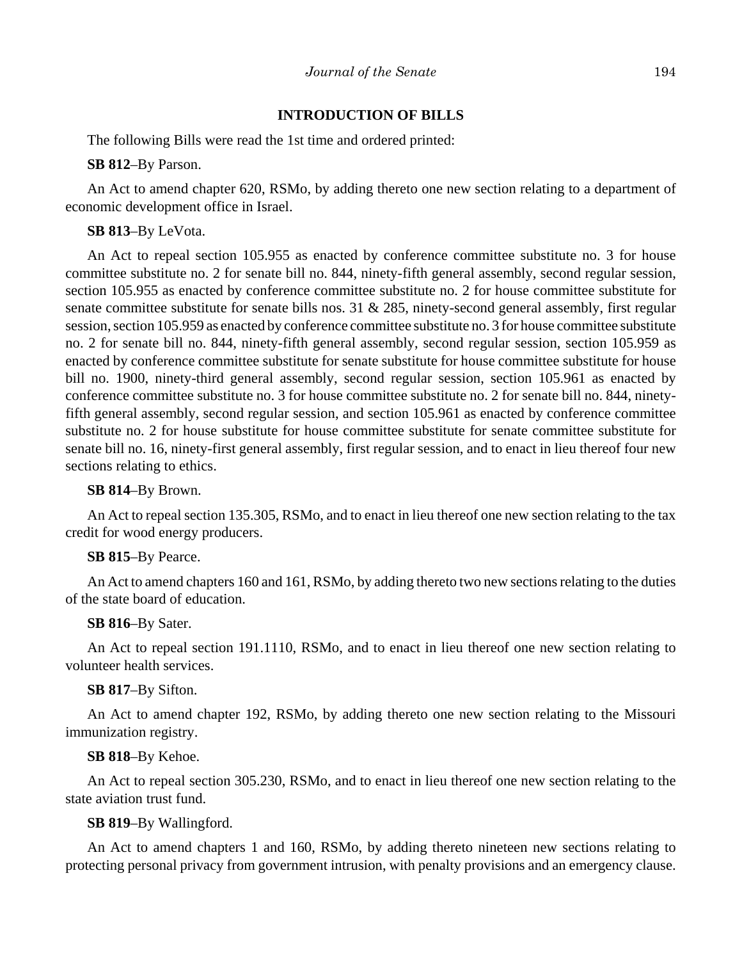## **INTRODUCTION OF BILLS**

The following Bills were read the 1st time and ordered printed:

**SB 812**–By Parson.

An Act to amend chapter 620, RSMo, by adding thereto one new section relating to a department of economic development office in Israel.

## **SB 813**–By LeVota.

An Act to repeal section 105.955 as enacted by conference committee substitute no. 3 for house committee substitute no. 2 for senate bill no. 844, ninety-fifth general assembly, second regular session, section 105.955 as enacted by conference committee substitute no. 2 for house committee substitute for senate committee substitute for senate bills nos. 31 & 285, ninety-second general assembly, first regular session, section 105.959 as enacted by conference committee substitute no. 3 for house committee substitute no. 2 for senate bill no. 844, ninety-fifth general assembly, second regular session, section 105.959 as enacted by conference committee substitute for senate substitute for house committee substitute for house bill no. 1900, ninety-third general assembly, second regular session, section 105.961 as enacted by conference committee substitute no. 3 for house committee substitute no. 2 for senate bill no. 844, ninetyfifth general assembly, second regular session, and section 105.961 as enacted by conference committee substitute no. 2 for house substitute for house committee substitute for senate committee substitute for senate bill no. 16, ninety-first general assembly, first regular session, and to enact in lieu thereof four new sections relating to ethics.

#### **SB 814**–By Brown.

An Act to repeal section 135.305, RSMo, and to enact in lieu thereof one new section relating to the tax credit for wood energy producers.

#### **SB 815**–By Pearce.

An Act to amend chapters 160 and 161, RSMo, by adding thereto two new sections relating to the duties of the state board of education.

#### **SB 816**–By Sater.

An Act to repeal section 191.1110, RSMo, and to enact in lieu thereof one new section relating to volunteer health services.

## **SB 817**–By Sifton.

An Act to amend chapter 192, RSMo, by adding thereto one new section relating to the Missouri immunization registry.

#### **SB 818**–By Kehoe.

An Act to repeal section 305.230, RSMo, and to enact in lieu thereof one new section relating to the state aviation trust fund.

## **SB 819**–By Wallingford.

An Act to amend chapters 1 and 160, RSMo, by adding thereto nineteen new sections relating to protecting personal privacy from government intrusion, with penalty provisions and an emergency clause.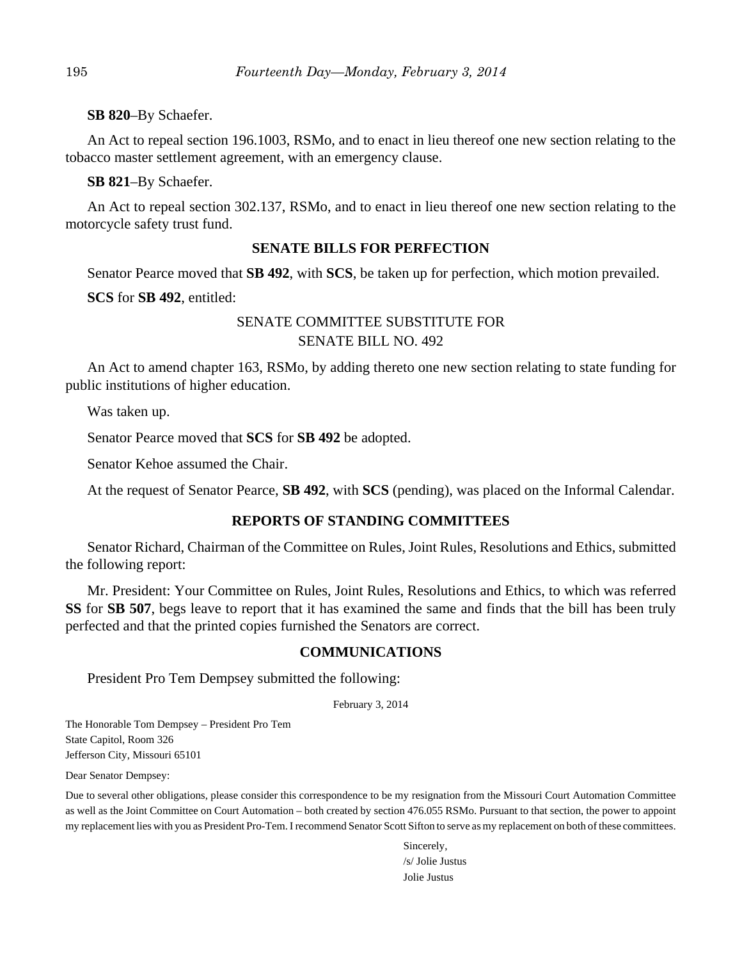**SB 820**–By Schaefer.

An Act to repeal section 196.1003, RSMo, and to enact in lieu thereof one new section relating to the tobacco master settlement agreement, with an emergency clause.

**SB 821**–By Schaefer.

An Act to repeal section 302.137, RSMo, and to enact in lieu thereof one new section relating to the motorcycle safety trust fund.

# **SENATE BILLS FOR PERFECTION**

Senator Pearce moved that **SB 492**, with **SCS**, be taken up for perfection, which motion prevailed.

**SCS** for **SB 492**, entitled:

# SENATE COMMITTEE SUBSTITUTE FOR SENATE BILL NO. 492

An Act to amend chapter 163, RSMo, by adding thereto one new section relating to state funding for public institutions of higher education.

Was taken up.

Senator Pearce moved that **SCS** for **SB 492** be adopted.

Senator Kehoe assumed the Chair.

At the request of Senator Pearce, **SB 492**, with **SCS** (pending), was placed on the Informal Calendar.

# **REPORTS OF STANDING COMMITTEES**

Senator Richard, Chairman of the Committee on Rules, Joint Rules, Resolutions and Ethics, submitted the following report:

Mr. President: Your Committee on Rules, Joint Rules, Resolutions and Ethics, to which was referred **SS** for **SB 507**, begs leave to report that it has examined the same and finds that the bill has been truly perfected and that the printed copies furnished the Senators are correct.

# **COMMUNICATIONS**

President Pro Tem Dempsey submitted the following:

February 3, 2014

The Honorable Tom Dempsey – President Pro Tem State Capitol, Room 326 Jefferson City, Missouri 65101

Dear Senator Dempsey:

Due to several other obligations, please consider this correspondence to be my resignation from the Missouri Court Automation Committee as well as the Joint Committee on Court Automation – both created by section 476.055 RSMo. Pursuant to that section, the power to appoint my replacement lies with you as President Pro-Tem. I recommend Senator Scott Sifton to serve as my replacement on both of these committees.

> Sincerely, /s/ Jolie Justus Jolie Justus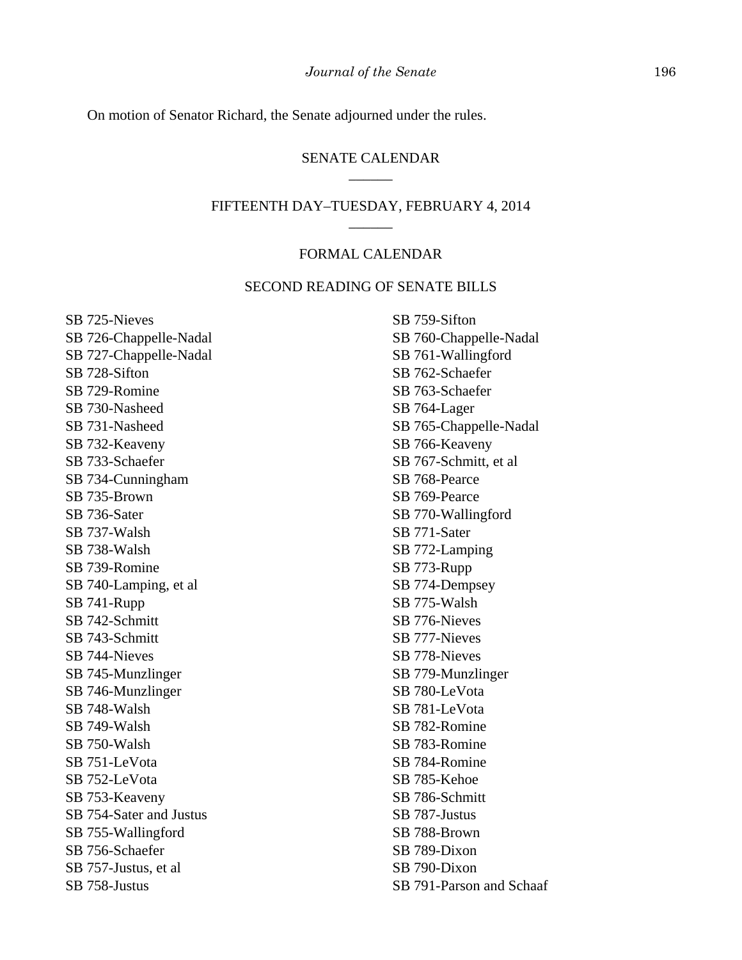On motion of Senator Richard, the Senate adjourned under the rules.

## SENATE CALENDAR \_\_\_\_\_\_

## FIFTEENTH DAY–TUESDAY, FEBRUARY 4, 2014 \_\_\_\_\_\_

### FORMAL CALENDAR

## SECOND READING OF SENATE BILLS

SB 725-Nieves SB 726-Chappelle-Nadal SB 727-Chappelle-Nadal SB 728-Sifton SB 729-Romine SB 730-Nasheed SB 731-Nasheed SB 732-Keaveny SB 733-Schaefer SB 734-Cunningham SB 735-Brown SB 736-Sater SB 737-Walsh SB 738-Walsh SB 739-Romine SB 740-Lamping, et al SB 741-Rupp SB 742-Schmitt SB 743-Schmitt SB 744-Nieves SB 745-Munzlinger SB 746-Munzlinger SB 748-Walsh SB 749-Walsh SB 750-Walsh SB 751-LeVota SB 752-LeVota SB 753-Keaveny SB 754-Sater and Justus SB 755-Wallingford SB 756-Schaefer SB 757-Justus, et al SB 758-Justus

SB 759-Sifton SB 760-Chappelle-Nadal SB 761-Wallingford SB 762-Schaefer SB 763-Schaefer SB 764-Lager SB 765-Chappelle-Nadal SB 766-Keaveny SB 767-Schmitt, et al SB 768-Pearce SB 769-Pearce SB 770-Wallingford SB 771-Sater SB 772-Lamping SB 773-Rupp SB 774-Dempsey SB 775-Walsh SB 776-Nieves SB 777-Nieves SB 778-Nieves SB 779-Munzlinger SB 780-LeVota SB 781-LeVota SB 782-Romine SB 783-Romine SB 784-Romine SB 785-Kehoe SB 786-Schmitt SB 787-Justus SB 788-Brown SB 789-Dixon SB 790-Dixon SB 791-Parson and Schaaf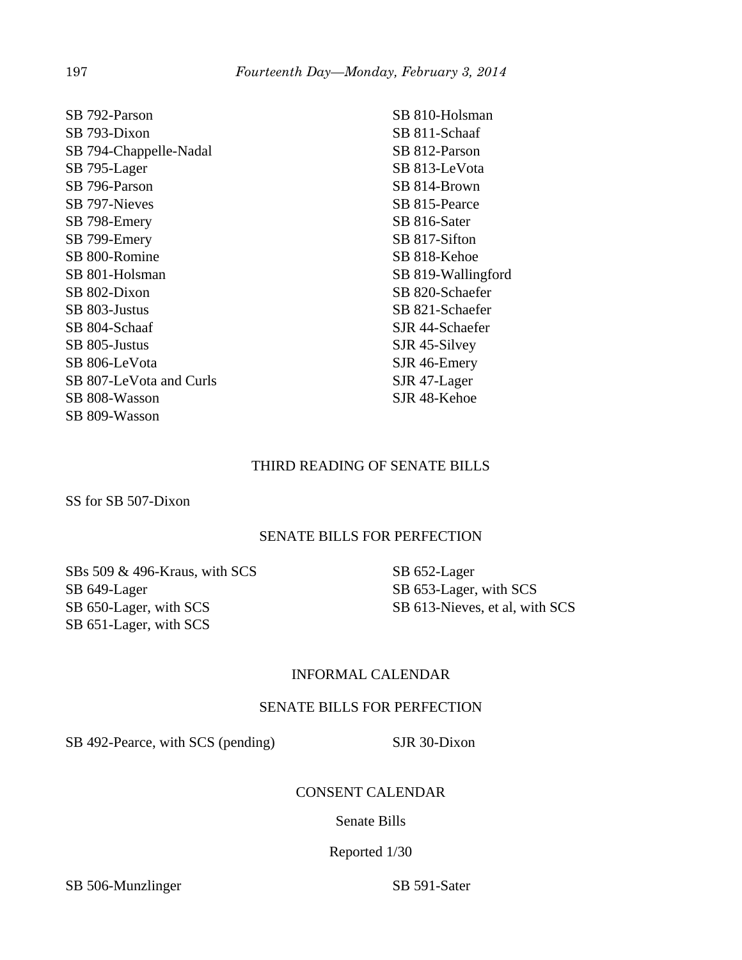SB 792-Parson SB 793-Dixon SB 794-Chappelle-Nadal SB 795-Lager SB 796-Parson SB 797-Nieves SB 798-Emery SB 799-Emery SB 800-Romine SB 801-Holsman SB 802-Dixon SB 803-Justus SB 804-Schaaf SB 805-Justus SB 806-LeVota SB 807-LeVota and Curls SB 808-Wasson SB 809-Wasson

SB 810-Holsman SB 811-Schaaf SB 812-Parson SB 813-LeVota SB 814-Brown SB 815-Pearce SB 816-Sater SB 817-Sifton SB 818-Kehoe SB 819-Wallingford SB 820-Schaefer SB 821-Schaefer SJR 44-Schaefer SJR 45-Silvey SJR 46-Emery SJR 47-Lager SJR 48-Kehoe

# THIRD READING OF SENATE BILLS

SS for SB 507-Dixon

# SENATE BILLS FOR PERFECTION

SBs 509 & 496-Kraus, with SCS SB 649-Lager SB 650-Lager, with SCS SB 651-Lager, with SCS

SB 652-Lager SB 653-Lager, with SCS SB 613-Nieves, et al, with SCS

# INFORMAL CALENDAR

## SENATE BILLS FOR PERFECTION

SB 492-Pearce, with SCS (pending) SJR 30-Dixon

# CONSENT CALENDAR

Senate Bills

## Reported 1/30

SB 506-Munzlinger SB 591-Sater